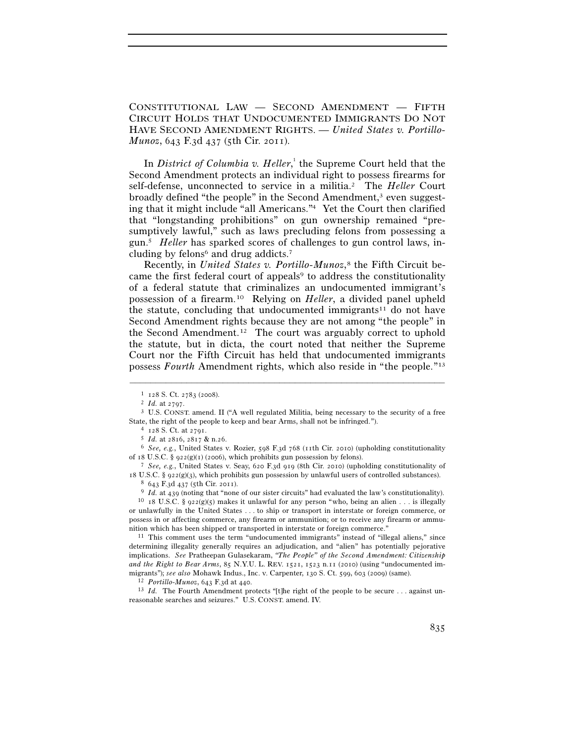CONSTITUTIONAL LAW — SECOND AMENDMENT — FIFTH CIRCUIT HOLDS THAT UNDOCUMENTED IMMIGRANTS DO NOT HAVE SECOND AMENDMENT RIGHTS. — *United States v. Portillo-Munoz*, 643 F.3d 437 (5th Cir. 2011).

In *District of Columbia v. Heller*,<sup>1</sup> the Supreme Court held that the Second Amendment protects an individual right to possess firearms for self-defense, unconnected to service in a militia.2 The *Heller* Court broadly defined "the people" in the Second Amendment,<sup>3</sup> even suggesting that it might include "all Americans."4 Yet the Court then clarified that "longstanding prohibitions" on gun ownership remained "presumptively lawful," such as laws precluding felons from possessing a gun.5 *Heller* has sparked scores of challenges to gun control laws, including by felons<sup>6</sup> and drug addicts.<sup>7</sup>

Recently, in *United States v. Portillo-Munoz*,<sup>8</sup> the Fifth Circuit became the first federal court of appeals<sup>9</sup> to address the constitutionality of a federal statute that criminalizes an undocumented immigrant's possession of a firearm.10 Relying on *Heller*, a divided panel upheld the statute, concluding that undocumented immigrants<sup>11</sup> do not have Second Amendment rights because they are not among "the people" in the Second Amendment.12 The court was arguably correct to uphold the statute, but in dicta, the court noted that neither the Supreme Court nor the Fifth Circuit has held that undocumented immigrants possess *Fourth* Amendment rights, which also reside in "the people."13

–––––––––––––––––––––––––––––––––––––––––––––––––––––––––––––

of 18 U.S.C. § 922(g)(1) (2006), which prohibits gun possession by felons). 7 *See, e.g.*, United States v. Seay, 620 F.3d 919 (8th Cir. 2010) (upholding constitutionality of

determining illegality generally requires an adjudication, and "alien" has potentially pejorative implications. *See* Pratheepan Gulasekaram, *"The People" of the Second Amendment: Citizenship and the Right to Bear Arms*, 85 N.Y.U. L. REV. 1521, 1523 n.11 (2010) (using "undocumented immigrants"); *see also* Mohawk Indus., Inc. v. Carpenter, 130 S. Ct. 599, 603 (2009) (same). 12 *Portillo-Munoz*, 643 F.3d at 440.

<sup>13</sup> *Id.* The Fourth Amendment protects "[t]he right of the people to be secure . . . against unreasonable searches and seizures." U.S. CONST. amend. IV.

<sup>&</sup>lt;sup>1</sup> 128 S. Ct. 2783 (2008).<br><sup>2</sup> *Id.* at 2797.<br><sup>3</sup> U.S. CONST. amend. II ("A well regulated Militia, being necessary to the security of a free State, the right of the people to keep and bear Arms, shall not be infringed.").<br>
<sup>4</sup> 128 S. Ct. at 2791.<br>
<sup>5</sup> *Id.* at 2816, 2817 & n.26.<br>
<sup>6</sup> *See, e.g.*, United States v. Rozier, 598 F.3d 768 (11th Cir. 2010) (upholdin

<sup>18</sup> U.S.C. § 922(g)(3), which prohibits gun possession by unlawful users of controlled substances).<br><sup>8</sup> 643 F.3d 437 (5th Cir. 2011).<br><sup>9</sup> *Id.* at 439 (noting that "none of our sister circuits" had evaluated the law's cons

or unlawfully in the United States . . . to ship or transport in interstate or foreign commerce, or possess in or affecting commerce, any firearm or ammunition; or to receive any firearm or ammunition which has been shipped or transported in interstate or foreign commerce." 11 This comment uses the term "undocumented immigrants" instead of "illegal aliens," since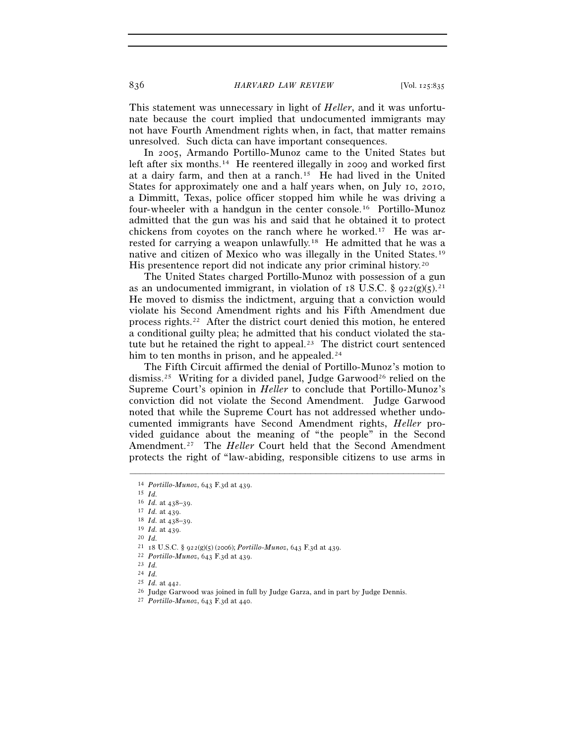836 *HARVARD LAW REVIEW* [Vol. 125:835

This statement was unnecessary in light of *Heller*, and it was unfortunate because the court implied that undocumented immigrants may not have Fourth Amendment rights when, in fact, that matter remains unresolved. Such dicta can have important consequences.

In 2005, Armando Portillo-Munoz came to the United States but left after six months.<sup>14</sup> He reentered illegally in 2009 and worked first at a dairy farm, and then at a ranch.15 He had lived in the United States for approximately one and a half years when, on July 10, 2010, a Dimmitt, Texas, police officer stopped him while he was driving a four-wheeler with a handgun in the center console.16 Portillo-Munoz admitted that the gun was his and said that he obtained it to protect chickens from coyotes on the ranch where he worked.17 He was arrested for carrying a weapon unlawfully.18 He admitted that he was a native and citizen of Mexico who was illegally in the United States.19 His presentence report did not indicate any prior criminal history.20

The United States charged Portillo-Munoz with possession of a gun as an undocumented immigrant, in violation of 18 U.S.C. §  $922(g)(5)^{21}$ He moved to dismiss the indictment, arguing that a conviction would violate his Second Amendment rights and his Fifth Amendment due process rights.22 After the district court denied this motion, he entered a conditional guilty plea; he admitted that his conduct violated the statute but he retained the right to appeal.<sup>23</sup> The district court sentenced him to ten months in prison, and he appealed.<sup>24</sup>

The Fifth Circuit affirmed the denial of Portillo-Munoz's motion to dismiss.<sup>25</sup> Writing for a divided panel, Judge Garwood<sup>26</sup> relied on the Supreme Court's opinion in *Heller* to conclude that Portillo-Munoz's conviction did not violate the Second Amendment. Judge Garwood noted that while the Supreme Court has not addressed whether undocumented immigrants have Second Amendment rights, *Heller* provided guidance about the meaning of "the people" in the Second Amendment.27 The *Heller* Court held that the Second Amendment protects the right of "law-abiding, responsible citizens to use arms in

<sup>14</sup> *Portillo-Munoz*, 643 F.3d at 439. 15 *Id.*

<sup>16</sup> *Id.* at 438–39. 17 *Id.* at 439. 18 *Id.* at 438–39. 19 *Id.* at 439. 20 *Id.*

<sup>21</sup> <sup>18</sup> U.S.C. § 922(g)(5) (2006); *Portillo-Munoz*, 643 F.3d at 439. 22 *Portillo-Munoz*, 643 F.3d at 439. 23 *Id.*

 $\frac{24}{25}$  *Id.* at 442.

 $^{26}$  Judge Garwood was joined in full by Judge Garza, and in part by Judge Dennis.  $^{27}$  *Portillo-Munoz*, 643 F.3d at 440.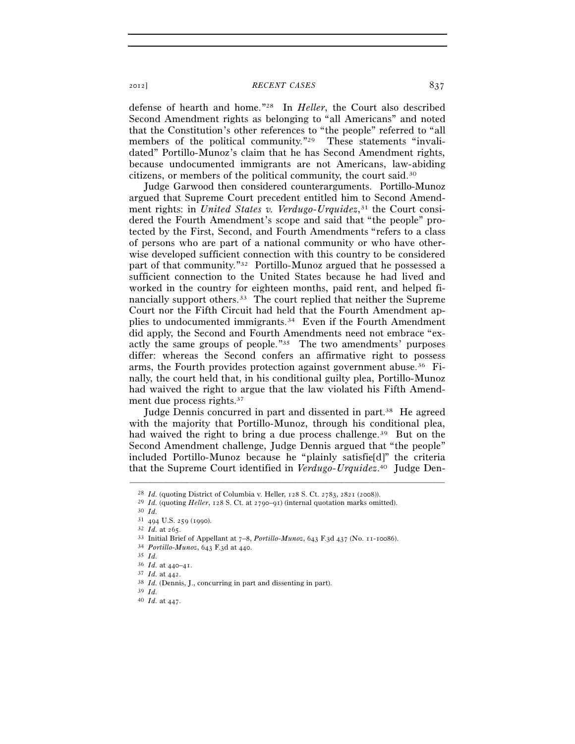2012] *RECENT CASES* 837

defense of hearth and home."28 In *Heller*, the Court also described Second Amendment rights as belonging to "all Americans" and noted that the Constitution's other references to "the people" referred to "all members of the political community."<sup>29</sup> These statements "invalidated" Portillo-Munoz's claim that he has Second Amendment rights, because undocumented immigrants are not Americans, law-abiding citizens, or members of the political community, the court said.30

Judge Garwood then considered counterarguments. Portillo-Munoz argued that Supreme Court precedent entitled him to Second Amendment rights: in *United States v. Verdugo-Urquidez*,<sup>31</sup> the Court considered the Fourth Amendment's scope and said that "the people" protected by the First, Second, and Fourth Amendments "refers to a class of persons who are part of a national community or who have otherwise developed sufficient connection with this country to be considered part of that community."32 Portillo-Munoz argued that he possessed a sufficient connection to the United States because he had lived and worked in the country for eighteen months, paid rent, and helped financially support others.33 The court replied that neither the Supreme Court nor the Fifth Circuit had held that the Fourth Amendment applies to undocumented immigrants.34 Even if the Fourth Amendment did apply, the Second and Fourth Amendments need not embrace "exactly the same groups of people."35 The two amendments' purposes differ: whereas the Second confers an affirmative right to possess arms, the Fourth provides protection against government abuse.36 Finally, the court held that, in his conditional guilty plea, Portillo-Munoz had waived the right to argue that the law violated his Fifth Amendment due process rights.<sup>37</sup>

Judge Dennis concurred in part and dissented in part.38 He agreed with the majority that Portillo-Munoz, through his conditional plea, had waived the right to bring a due process challenge.<sup>39</sup> But on the Second Amendment challenge, Judge Dennis argued that "the people" included Portillo-Munoz because he "plainly satisfie[d]" the criteria that the Supreme Court identified in *Verdugo-Urquidez*. 40 Judge Den-

<sup>28</sup> *Id.* (quoting District of Columbia v. Heller, 128 S. Ct. 2783, 2821 (2008)). 29 *Id.* (quoting *Heller*, 128 S. Ct. at 2790–91) (internal quotation marks omitted). 30 *Id.*

<sup>31</sup> <sup>494</sup> U.S. 259 (1990). 32 *Id.* at 265. 33 Initial Brief of Appellant at 7–8, *Portillo-Munoz*, 643 F.3d 437 (No. 11-10086). 34 *Portillo-Munoz*, 643 F.3d at 440. 35 *Id.*

<sup>36</sup> *Id.* at 440–41. 37 *Id.* at 442. 38 *Id.* (Dennis, J., concurring in part and dissenting in part). 39 *Id.*

<sup>40</sup> *Id.* at 447.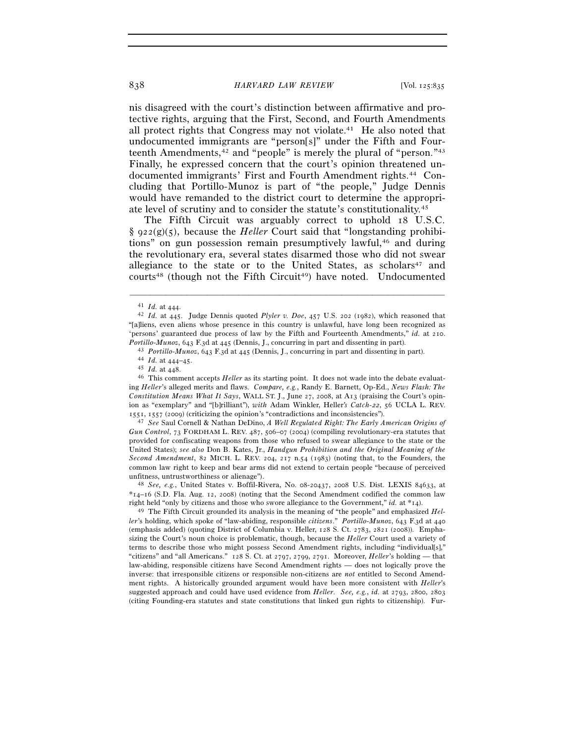## 838 *HARVARD LAW REVIEW* [Vol. 125:835

nis disagreed with the court's distinction between affirmative and protective rights, arguing that the First, Second, and Fourth Amendments all protect rights that Congress may not violate.41 He also noted that undocumented immigrants are "person[s]" under the Fifth and Fourteenth Amendments,<sup>42</sup> and "people" is merely the plural of "person."<sup>43</sup> Finally, he expressed concern that the court's opinion threatened undocumented immigrants' First and Fourth Amendment rights.44 Concluding that Portillo-Munoz is part of "the people," Judge Dennis would have remanded to the district court to determine the appropriate level of scrutiny and to consider the statute's constitutionality.45

The Fifth Circuit was arguably correct to uphold 18 U.S.C. § 922(g)(5), because the *Heller* Court said that "longstanding prohibitions" on gun possession remain presumptively lawful,46 and during the revolutionary era, several states disarmed those who did not swear allegiance to the state or to the United States, as scholars<sup>47</sup> and courts<sup>48</sup> (though not the Fifth Circuit<sup>49</sup>) have noted. Undocumented

–––––––––––––––––––––––––––––––––––––––––––––––––––––––––––––

Portillo-Munoz, 643 F.3d at 445 (Dennis, J., concurring in part and dissenting in part).<br>
<sup>43</sup> Portillo-Munoz, 643 F.3d at 445 (Dennis, J., concurring in part and dissenting in part).<br>
<sup>44</sup> Id. at 444–45.<br>
<sup>45</sup> Id. at 448 ing *Heller*'s alleged merits and flaws. *Compare, e.g.*, Randy E. Barnett, Op-Ed., *News Flash: The Constitution Means What It Says*, WALL ST. J., June 27, 2008, at A13 (praising the Court's opinion as "exemplary" and "[b]rilliant"), *with* Adam Winkler, Heller*'s Catch-22*, 56 UCLA L. REV.

<sup>1551</sup>, 1557 (2009) (criticizing the opinion's "contradictions and inconsistencies"). 47 *See* Saul Cornell & Nathan DeDino, *A Well Regulated Right: The Early American Origins of Gun Control*, 73 FORDHAM L. REV. 487, 506–07 (2004) (compiling revolutionary-era statutes that provided for confiscating weapons from those who refused to swear allegiance to the state or the United States); *see also* Don B. Kates, Jr., *Handgun Prohibition and the Original Meaning of the Second Amendment*, 82 MICH. L. REV. 204, 217 n.54 (1983) (noting that, to the Founders, the common law right to keep and bear arms did not extend to certain people "because of perceived unfitness, untrustworthiness or alienage"). 48 *See, e.g.*, United States v. Boffil-Rivera, No. 08-20437, 2008 U.S. Dist. LEXIS 84633, at

\*14–16 (S.D. Fla. Aug. 12, 2008) (noting that the Second Amendment codified the common law right held "only by citizens and those who swore allegiance to the Government," *id.* at \*14). 49 The Fifth Circuit grounded its analysis in the meaning of "the people" and emphasized *Hel-*

*ler*'s holding, which spoke of "law-abiding, responsible *citizens*." *Portillo-Munoz*, 643 F.3d at 440 (emphasis added) (quoting District of Columbia v. Heller, 128 S. Ct. 2783, 2821 (2008)). Emphasizing the Court's noun choice is problematic, though, because the *Heller* Court used a variety of terms to describe those who might possess Second Amendment rights, including "individual[s]," "citizens" and "all Americans." 128 S. Ct. at 2797, 2799, 2791. Moreover, *Heller*'s holding — that law-abiding, responsible citizens have Second Amendment rights — does not logically prove the inverse: that irresponsible citizens or responsible non-citizens are *not* entitled to Second Amendment rights. A historically grounded argument would have been more consistent with *Heller'*s suggested approach and could have used evidence from *Heller*. *See, e.g.*, *id.* at 2793, 2800, 2803 (citing Founding-era statutes and state constitutions that linked gun rights to citizenship). Fur-

<sup>41</sup> *Id.* at 444. 42 *Id.* at 445. Judge Dennis quoted *Plyler v. Doe*, 457 U.S. 202 (1982), which reasoned that "[a]liens, even aliens whose presence in this country is unlawful, have long been recognized as 'persons' guaranteed due process of law by the Fifth and Fourteenth Amendments," *id.* at 210.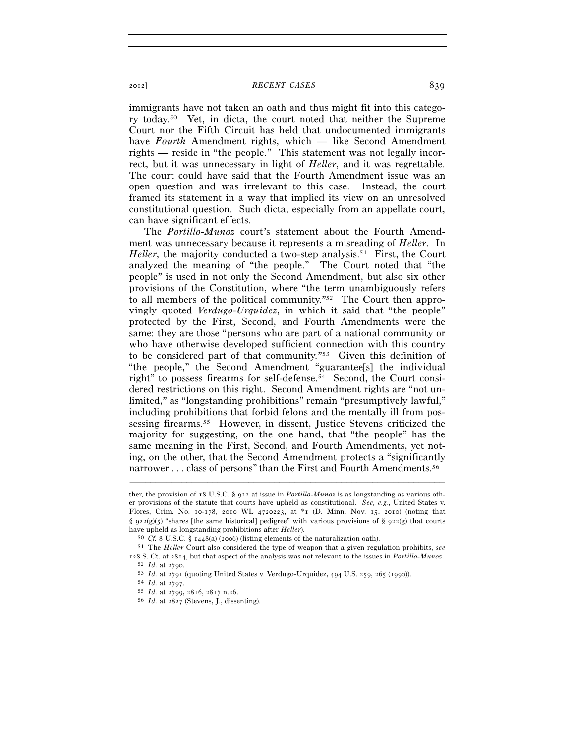## 2012] *RECENT CASES* 839

immigrants have not taken an oath and thus might fit into this category today.50 Yet, in dicta, the court noted that neither the Supreme Court nor the Fifth Circuit has held that undocumented immigrants have *Fourth* Amendment rights, which — like Second Amendment rights — reside in "the people." This statement was not legally incorrect, but it was unnecessary in light of *Heller*, and it was regrettable. The court could have said that the Fourth Amendment issue was an open question and was irrelevant to this case. Instead, the court framed its statement in a way that implied its view on an unresolved constitutional question. Such dicta, especially from an appellate court, can have significant effects.

The *Portillo-Munoz* court's statement about the Fourth Amendment was unnecessary because it represents a misreading of *Heller*. In *Heller*, the majority conducted a two-step analysis.<sup>51</sup> First, the Court analyzed the meaning of "the people." The Court noted that "the people" is used in not only the Second Amendment, but also six other provisions of the Constitution, where "the term unambiguously refers to all members of the political community."52 The Court then approvingly quoted *Verdugo-Urquidez*, in which it said that "the people" protected by the First, Second, and Fourth Amendments were the same: they are those "persons who are part of a national community or who have otherwise developed sufficient connection with this country to be considered part of that community."53 Given this definition of "the people," the Second Amendment "guarantee[s] the individual right" to possess firearms for self-defense.54 Second, the Court considered restrictions on this right. Second Amendment rights are "not unlimited," as "longstanding prohibitions" remain "presumptively lawful," including prohibitions that forbid felons and the mentally ill from possessing firearms.55 However, in dissent, Justice Stevens criticized the majority for suggesting, on the one hand, that "the people" has the same meaning in the First, Second, and Fourth Amendments, yet noting, on the other, that the Second Amendment protects a "significantly narrower . . . class of persons" than the First and Fourth Amendments.<sup>56</sup>

ther, the provision of 18 U.S.C. § 922 at issue in *Portillo-Munoz* is as longstanding as various other provisions of the statute that courts have upheld as constitutional. *See, e.g.*, United States v. Flores, Crim. No. 10-178, 2010 WL 4720223, at \*1 (D. Minn. Nov. 15, 2010) (noting that §  $922(g)(5)$  "shares [the same historical] pedigree" with various provisions of §  $922(g)$  that courts

have upheld as longstanding prohibitions after *Heller*).<br><sup>50</sup> *Cf.* 8 U.S.C. § 1448(a) (2006) (listing elements of the naturalization oath).<br><sup>51</sup> The *Heller* Court also considered the type of weapon that a given regulat

<sup>52</sup>  $Id.$  at 2790.<br>
53  $Id.$  at 2791 (quoting United States v. Verdugo-Urquidez, 494 U.S. 259, 265 (1990)).<br>
54  $Id.$  at 2797.<br>
55  $Id.$  at 2799, 2816, 2817 n.26.<br>
56  $Id.$  at 2827 (Stevens, J., dissenting).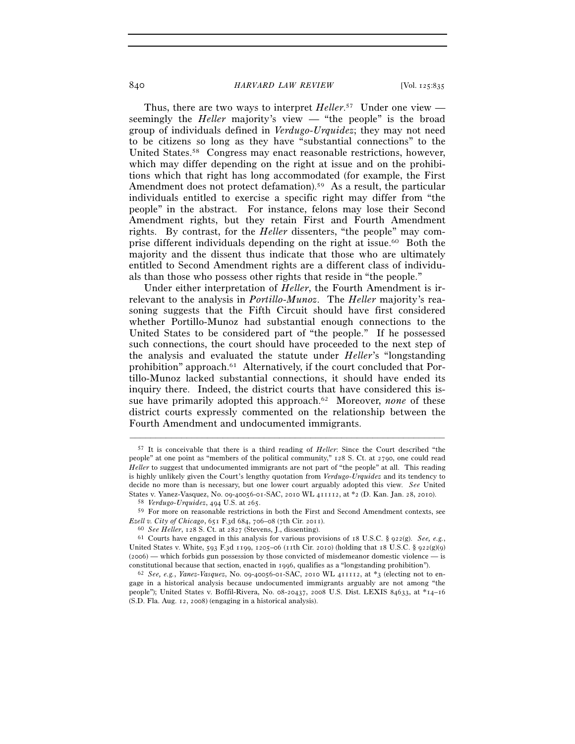## 840 *HARVARD LAW REVIEW* [Vol. 125:835

Thus, there are two ways to interpret *Heller*. 57 Under one view seemingly the *Heller* majority's view — "the people" is the broad group of individuals defined in *Verdugo-Urquidez*; they may not need to be citizens so long as they have "substantial connections" to the United States.58 Congress may enact reasonable restrictions, however, which may differ depending on the right at issue and on the prohibitions which that right has long accommodated (for example, the First Amendment does not protect defamation).<sup>59</sup> As a result, the particular individuals entitled to exercise a specific right may differ from "the people" in the abstract. For instance, felons may lose their Second Amendment rights, but they retain First and Fourth Amendment rights. By contrast, for the *Heller* dissenters, "the people" may comprise different individuals depending on the right at issue.60 Both the majority and the dissent thus indicate that those who are ultimately entitled to Second Amendment rights are a different class of individuals than those who possess other rights that reside in "the people."

Under either interpretation of *Heller*, the Fourth Amendment is irrelevant to the analysis in *Portillo-Munoz*. The *Heller* majority's reasoning suggests that the Fifth Circuit should have first considered whether Portillo-Munoz had substantial enough connections to the United States to be considered part of "the people." If he possessed such connections, the court should have proceeded to the next step of the analysis and evaluated the statute under *Heller*'s "longstanding prohibition" approach.61 Alternatively, if the court concluded that Portillo-Munoz lacked substantial connections, it should have ended its inquiry there. Indeed, the district courts that have considered this issue have primarily adopted this approach.62 Moreover, *none* of these district courts expressly commented on the relationship between the Fourth Amendment and undocumented immigrants.

<sup>57</sup> It is conceivable that there is a third reading of *Heller*: Since the Court described "the people" at one point as "members of the political community," 128 S. Ct. at 2790, one could read *Heller* to suggest that undocumented immigrants are not part of "the people" at all. This reading is highly unlikely given the Court's lengthy quotation from *Verdugo-Urquidez* and its tendency to decide no more than is necessary, but one lower court arguably adopted this view. *See* United

<sup>&</sup>lt;sup>58</sup> Verdugo-Urquidez, 494 U.S. at 265.<br><sup>59</sup> For more on reasonable restrictions in both the First and Second Amendment contexts, see *Ezell v. City of Chicago*, 651 F.3d 684, 706–08 (7th Cir. 2011).<br><sup>60</sup> *See Heller*, 128 S. Ct. at 2827 (Stevens, J., dissenting).<br><sup>61</sup> Courts have engaged in this analysis for various provisions of 18 U.S.C. § 922(g). *S* 

United States v. White, 593 F.3d 1199, 1205–06 (11th Cir. 2010) (holding that 18 U.S.C. § 922(g)(9) (2006) — which forbids gun possession by those convicted of misdemeanor domestic violence — is constitutional because that section, enacted in 1996, qualifies as a "longstanding prohibition"). 62 *See, e.g.*, *Yanez-Vasquez*, No. 09-40056-01-SAC, 2010 WL 411112, at \*3 (electing not to en-

gage in a historical analysis because undocumented immigrants arguably are not among "the people"); United States v. Boffil-Rivera, No. 08-20437, 2008 U.S. Dist. LEXIS 84633, at \*14–16 (S.D. Fla. Aug. 12, 2008) (engaging in a historical analysis).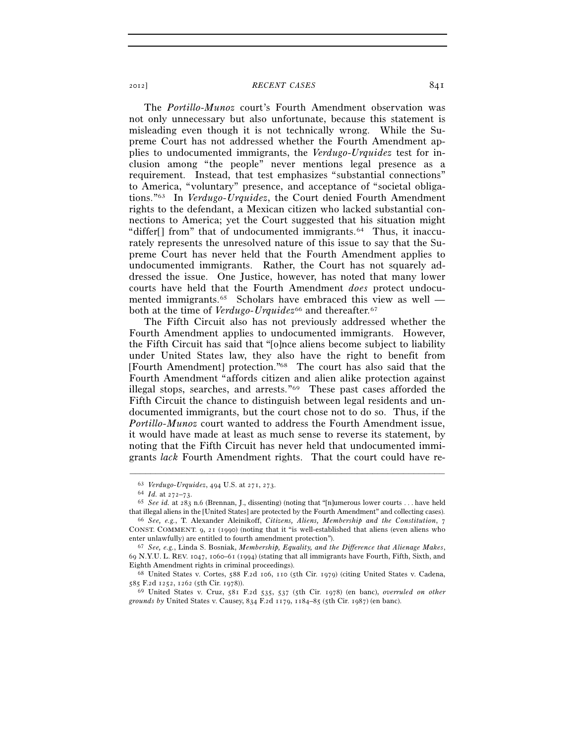## 2012] *RECENT CASES* 841

The *Portillo-Munoz* court's Fourth Amendment observation was not only unnecessary but also unfortunate, because this statement is misleading even though it is not technically wrong. While the Supreme Court has not addressed whether the Fourth Amendment applies to undocumented immigrants, the *Verdugo-Urquidez* test for inclusion among "the people" never mentions legal presence as a requirement. Instead, that test emphasizes "substantial connections" to America, "voluntary" presence, and acceptance of "societal obligations."63 In *Verdugo-Urquidez*, the Court denied Fourth Amendment rights to the defendant, a Mexican citizen who lacked substantial connections to America; yet the Court suggested that his situation might "differ<sup>[]</sup> from" that of undocumented immigrants.<sup>64</sup> Thus, it inaccurately represents the unresolved nature of this issue to say that the Supreme Court has never held that the Fourth Amendment applies to undocumented immigrants. Rather, the Court has not squarely addressed the issue. One Justice, however, has noted that many lower courts have held that the Fourth Amendment *does* protect undocumented immigrants.<sup>65</sup> Scholars have embraced this view as well both at the time of *Verdugo-Urquidez*<sup>66</sup> and thereafter.<sup>67</sup>

The Fifth Circuit also has not previously addressed whether the Fourth Amendment applies to undocumented immigrants. However, the Fifth Circuit has said that "[o]nce aliens become subject to liability under United States law, they also have the right to benefit from [Fourth Amendment] protection."68 The court has also said that the Fourth Amendment "affords citizen and alien alike protection against illegal stops, searches, and arrests."69 These past cases afforded the Fifth Circuit the chance to distinguish between legal residents and undocumented immigrants, but the court chose not to do so. Thus, if the *Portillo-Munoz* court wanted to address the Fourth Amendment issue, it would have made at least as much sense to reverse its statement, by noting that the Fifth Circuit has never held that undocumented immigrants *lack* Fourth Amendment rights. That the court could have re-

<sup>63</sup> *Verdugo-Urquidez*, 494 U.S. at 271, 273.<br>64 *Id.* at 272–73.<br>65 *See id.* at 283 n.6 (Brennan, J., dissenting) (noting that "[n]umerous lower courts . . . have held that illegal aliens in the [United States] are protected by the Fourth Amendment" and collecting cases). 66 *See, e.g.*, T. Alexander Aleinikoff, *Citizens, Aliens, Membership and the Constitution*, <sup>7</sup>

CONST. COMMENT. 9, 21 (1990) (noting that it "is well-established that aliens (even aliens who enter unlawfully) are entitled to fourth amendment protection"). 67 *See, e.g.*, Linda S. Bosniak, *Membership, Equality, and the Difference that Alienage Makes*,

<sup>69</sup> N.Y.U. L. REV. 1047, 1060–61 (1994) (stating that all immigrants have Fourth, Fifth, Sixth, and

Eighth Amendment rights in criminal proceedings).<br>
68 United States v. Cortes, 588 F.2d 106, 110 (5th Cir. 1979) (citing United States v. Cadena,<br>
585 F.2d 1252, 1262 (5th Cir. 1978)).

<sup>585</sup> F.2d 1252, 1262 (5th Cir. 1978)). 69 United States v. Cruz, 581 F.2d 535, 537 (5th Cir. 1978) (en banc), *overruled on other grounds by* United States v. Causey, 834 F.2d 1179, 1184–85 (5th Cir. 1987) (en banc).